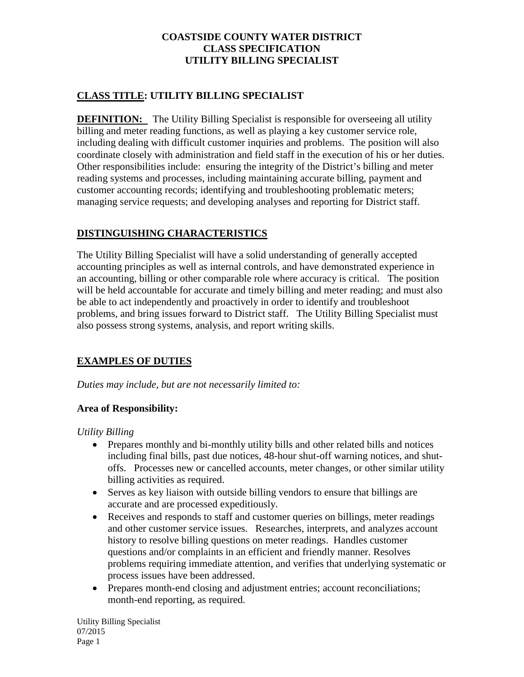# **CLASS TITLE: UTILITY BILLING SPECIALIST**

**DEFINITION:** The Utility Billing Specialist is responsible for overseeing all utility billing and meter reading functions, as well as playing a key customer service role, including dealing with difficult customer inquiries and problems. The position will also coordinate closely with administration and field staff in the execution of his or her duties. Other responsibilities include: ensuring the integrity of the District's billing and meter reading systems and processes, including maintaining accurate billing, payment and customer accounting records; identifying and troubleshooting problematic meters; managing service requests; and developing analyses and reporting for District staff.

# **DISTINGUISHING CHARACTERISTICS**

The Utility Billing Specialist will have a solid understanding of generally accepted accounting principles as well as internal controls, and have demonstrated experience in an accounting, billing or other comparable role where accuracy is critical. The position will be held accountable for accurate and timely billing and meter reading; and must also be able to act independently and proactively in order to identify and troubleshoot problems, and bring issues forward to District staff. The Utility Billing Specialist must also possess strong systems, analysis, and report writing skills.

## **EXAMPLES OF DUTIES**

*Duties may include, but are not necessarily limited to:* 

## **Area of Responsibility:**

*Utility Billing*

- Prepares monthly and bi-monthly utility bills and other related bills and notices including final bills, past due notices, 48-hour shut-off warning notices, and shutoffs. Processes new or cancelled accounts, meter changes, or other similar utility billing activities as required.
- Serves as key liaison with outside billing vendors to ensure that billings are accurate and are processed expeditiously.
- Receives and responds to staff and customer queries on billings, meter readings and other customer service issues. Researches, interprets, and analyzes account history to resolve billing questions on meter readings. Handles customer questions and/or complaints in an efficient and friendly manner. Resolves problems requiring immediate attention, and verifies that underlying systematic or process issues have been addressed.
- Prepares month-end closing and adjustment entries; account reconciliations; month-end reporting, as required.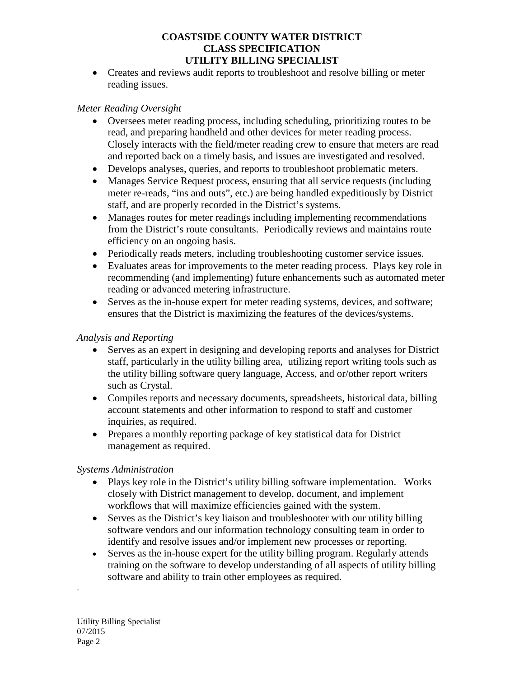• Creates and reviews audit reports to troubleshoot and resolve billing or meter reading issues.

## *Meter Reading Oversight*

- Oversees meter reading process, including scheduling, prioritizing routes to be read, and preparing handheld and other devices for meter reading process. Closely interacts with the field/meter reading crew to ensure that meters are read and reported back on a timely basis, and issues are investigated and resolved.
- Develops analyses, queries, and reports to troubleshoot problematic meters.
- Manages Service Request process, ensuring that all service requests (including meter re-reads, "ins and outs", etc.) are being handled expeditiously by District staff, and are properly recorded in the District's systems.
- Manages routes for meter readings including implementing recommendations from the District's route consultants. Periodically reviews and maintains route efficiency on an ongoing basis.
- Periodically reads meters, including troubleshooting customer service issues.
- Evaluates areas for improvements to the meter reading process. Plays key role in recommending (and implementing) future enhancements such as automated meter reading or advanced metering infrastructure.
- Serves as the in-house expert for meter reading systems, devices, and software; ensures that the District is maximizing the features of the devices/systems.

## *Analysis and Reporting*

- Serves as an expert in designing and developing reports and analyses for District staff, particularly in the utility billing area, utilizing report writing tools such as the utility billing software query language, Access, and or/other report writers such as Crystal.
- Compiles reports and necessary documents, spreadsheets, historical data, billing account statements and other information to respond to staff and customer inquiries, as required.
- Prepares a monthly reporting package of key statistical data for District management as required.

## *Systems Administration*

- Plays key role in the District's utility billing software implementation. Works closely with District management to develop, document, and implement workflows that will maximize efficiencies gained with the system.
- Serves as the District's key liaison and troubleshooter with our utility billing software vendors and our information technology consulting team in order to identify and resolve issues and/or implement new processes or reporting.
- Serves as the in-house expert for the utility billing program. Regularly attends training on the software to develop understanding of all aspects of utility billing software and ability to train other employees as required.

.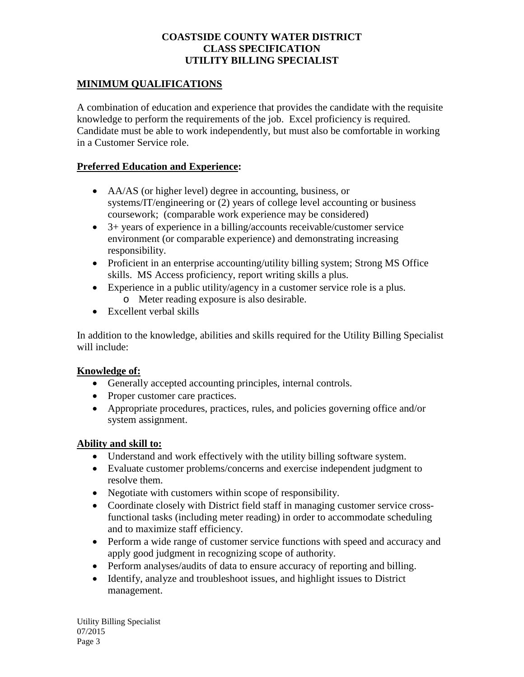## **MINIMUM QUALIFICATIONS**

A combination of education and experience that provides the candidate with the requisite knowledge to perform the requirements of the job. Excel proficiency is required. Candidate must be able to work independently, but must also be comfortable in working in a Customer Service role.

#### **Preferred Education and Experience:**

- AA/AS (or higher level) degree in accounting, business, or systems/IT/engineering or (2) years of college level accounting or business coursework; (comparable work experience may be considered)
- 3+ years of experience in a billing/accounts receivable/customer service environment (or comparable experience) and demonstrating increasing responsibility.
- Proficient in an enterprise accounting/utility billing system; Strong MS Office skills. MS Access proficiency, report writing skills a plus.
- Experience in a public utility/agency in a customer service role is a plus. o Meter reading exposure is also desirable.
- Excellent verbal skills

In addition to the knowledge, abilities and skills required for the Utility Billing Specialist will include:

## **Knowledge of:**

- Generally accepted accounting principles, internal controls.
- Proper customer care practices.
- Appropriate procedures, practices, rules, and policies governing office and/or system assignment.

#### **Ability and skill to:**

- Understand and work effectively with the utility billing software system.
- Evaluate customer problems/concerns and exercise independent judgment to resolve them.
- Negotiate with customers within scope of responsibility.
- Coordinate closely with District field staff in managing customer service crossfunctional tasks (including meter reading) in order to accommodate scheduling and to maximize staff efficiency.
- Perform a wide range of customer service functions with speed and accuracy and apply good judgment in recognizing scope of authority.
- Perform analyses/audits of data to ensure accuracy of reporting and billing.
- Identify, analyze and troubleshoot issues, and highlight issues to District management.